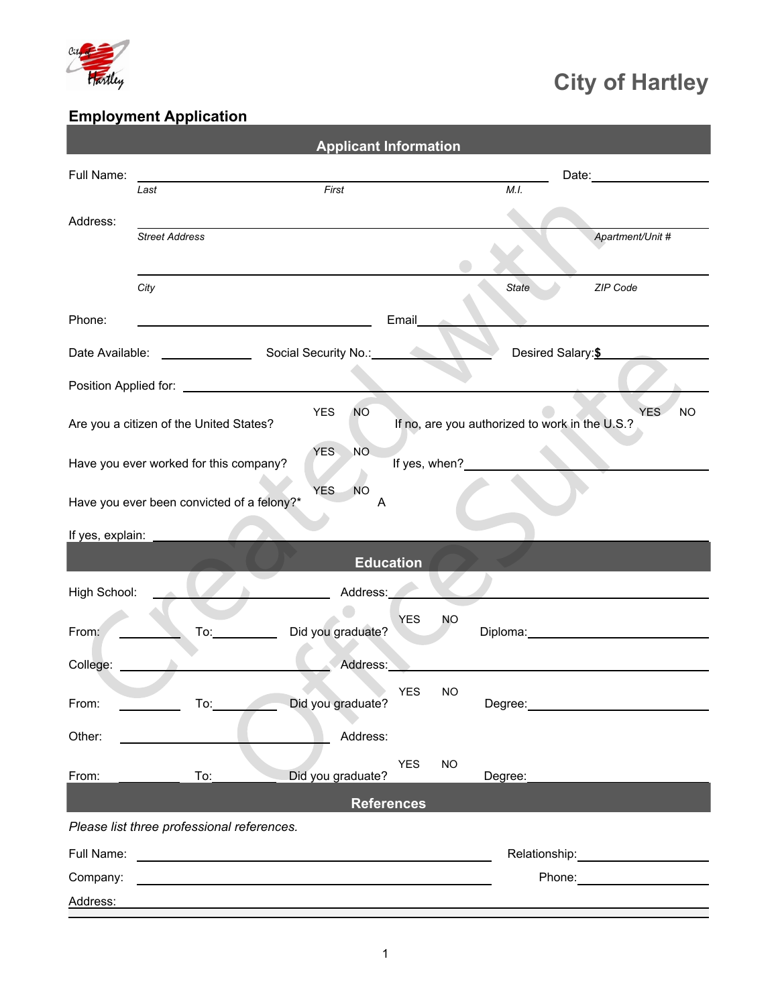

## City of Hartley

## Employment Application

|                  |                                            | <b>Applicant Information</b>                               |                         |                                                        |
|------------------|--------------------------------------------|------------------------------------------------------------|-------------------------|--------------------------------------------------------|
| Full Name:       |                                            |                                                            |                         | Date: ________________                                 |
|                  | Last                                       | First                                                      |                         | M.I.                                                   |
| Address:         | <b>Street Address</b>                      |                                                            |                         | Apartment/Unit #                                       |
|                  |                                            |                                                            |                         |                                                        |
|                  | City                                       |                                                            |                         | ZIP Code<br>State                                      |
| Phone:           |                                            |                                                            | Email                   |                                                        |
|                  |                                            |                                                            |                         | Desired Salary: \$                                     |
|                  |                                            |                                                            |                         |                                                        |
|                  | Are you a citizen of the United States?    | YES<br><b>NO</b>                                           |                         | YES.<br>If no, are you authorized to work in the U.S.? |
|                  | Have you ever worked for this company?     | <b>NO</b><br><b>YES</b>                                    | If yes, when?           |                                                        |
|                  | Have you ever been convicted of a felony?* | <b>YES</b><br>NO<br>A                                      |                         |                                                        |
| If yes, explain: |                                            |                                                            |                         |                                                        |
|                  |                                            | <b>Education</b>                                           |                         |                                                        |
| High School:     |                                            | Address:                                                   |                         |                                                        |
| From:            | $\overline{a}$                             | Did you graduate?                                          | <b>YES</b><br><b>NO</b> | Diploma: __________________________________            |
| College:         |                                            | Address:                                                   |                         |                                                        |
| From:            | $\overline{a}$ To: $\overline{a}$          | Did you graduate?                                          | <b>YES</b><br><b>NO</b> |                                                        |
| Other:           |                                            | Address:                                                   |                         |                                                        |
| From:            | To:                                        | Did you graduate?                                          | <b>YES</b><br><b>NO</b> | Degree:                                                |
|                  |                                            | <b>References</b>                                          |                         |                                                        |
|                  | Please list three professional references. |                                                            |                         |                                                        |
| Full Name:       |                                            | <u> 1989 - Johann John Stein, fransk politik (d. 1989)</u> |                         | Relationship: ________________________                 |
| Company:         |                                            |                                                            |                         | Phone: <u>www.community.com</u>                        |
| Address:         |                                            |                                                            |                         |                                                        |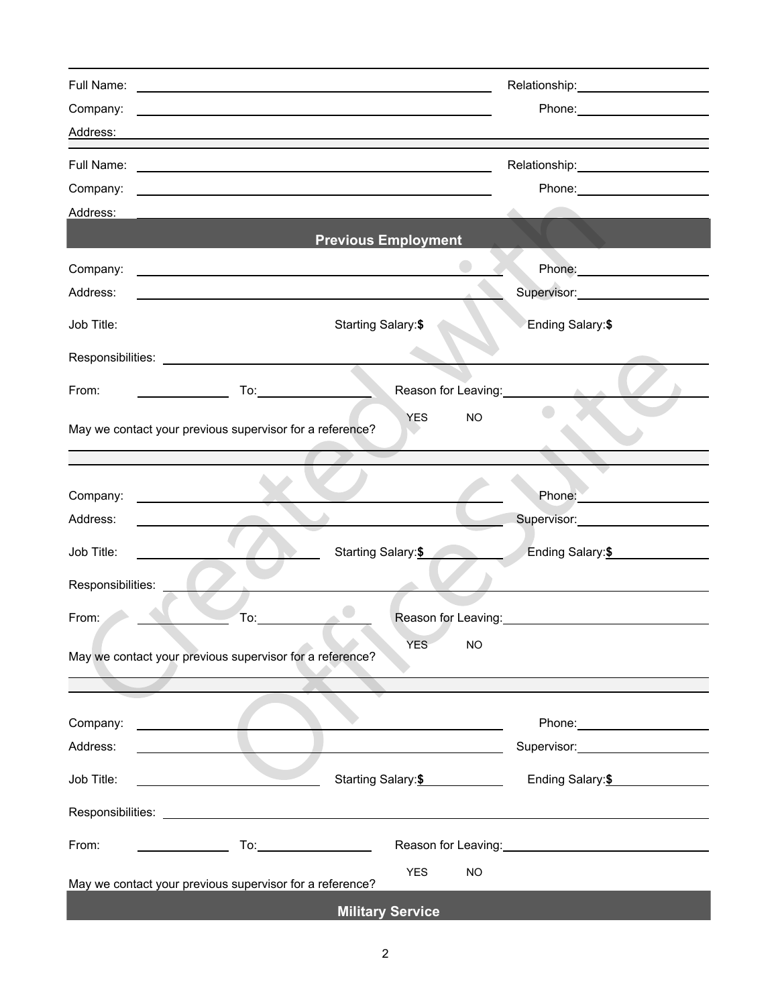| Full Name:                                                                                                                                                                                                                                       |                                                                                                                                                                                                                                      | <u> 1989 - Johann Barn, mars et al. (b. 1989)</u>                                                                                                                                                                              | Relationship: _____________________                                                                           |
|--------------------------------------------------------------------------------------------------------------------------------------------------------------------------------------------------------------------------------------------------|--------------------------------------------------------------------------------------------------------------------------------------------------------------------------------------------------------------------------------------|--------------------------------------------------------------------------------------------------------------------------------------------------------------------------------------------------------------------------------|---------------------------------------------------------------------------------------------------------------|
| Company:                                                                                                                                                                                                                                         |                                                                                                                                                                                                                                      | <u> 1989 - Andrea Station, amerikansk politik (* 1958)</u>                                                                                                                                                                     |                                                                                                               |
| Address:                                                                                                                                                                                                                                         |                                                                                                                                                                                                                                      |                                                                                                                                                                                                                                |                                                                                                               |
|                                                                                                                                                                                                                                                  |                                                                                                                                                                                                                                      |                                                                                                                                                                                                                                | Relationship: 2000                                                                                            |
| Company:                                                                                                                                                                                                                                         |                                                                                                                                                                                                                                      | and the control of the control of the control of the control of the control of the control of the control of the                                                                                                               | Phone: _______________________                                                                                |
| Address:                                                                                                                                                                                                                                         |                                                                                                                                                                                                                                      |                                                                                                                                                                                                                                |                                                                                                               |
|                                                                                                                                                                                                                                                  |                                                                                                                                                                                                                                      | <b>Previous Employment</b>                                                                                                                                                                                                     |                                                                                                               |
| Company:                                                                                                                                                                                                                                         |                                                                                                                                                                                                                                      | <u> 2000 - Andrea Andrew Maria (h. 1878).</u>                                                                                                                                                                                  |                                                                                                               |
| Address:                                                                                                                                                                                                                                         |                                                                                                                                                                                                                                      |                                                                                                                                                                                                                                | Supervisor: _______________________                                                                           |
| Job Title:                                                                                                                                                                                                                                       |                                                                                                                                                                                                                                      | <b>Starting Salary:\$</b>                                                                                                                                                                                                      | Ending Salary:\$                                                                                              |
|                                                                                                                                                                                                                                                  |                                                                                                                                                                                                                                      |                                                                                                                                                                                                                                |                                                                                                               |
| From:                                                                                                                                                                                                                                            |                                                                                                                                                                                                                                      |                                                                                                                                                                                                                                | Reason for Leaving:<br><u>Leason</u> for Leaving:<br><b>All Card</b>                                          |
| May we contact your previous supervisor for a reference?                                                                                                                                                                                         |                                                                                                                                                                                                                                      | <b>YES</b>                                                                                                                                                                                                                     | <b>NO</b>                                                                                                     |
|                                                                                                                                                                                                                                                  |                                                                                                                                                                                                                                      |                                                                                                                                                                                                                                |                                                                                                               |
|                                                                                                                                                                                                                                                  |                                                                                                                                                                                                                                      |                                                                                                                                                                                                                                |                                                                                                               |
| Company:                                                                                                                                                                                                                                         | <u>and the state of the state of the state of the state of the state of the state of the state of the state of the state of the state of the state of the state of the state of the state of the state of the state of the state</u> |                                                                                                                                                                                                                                |                                                                                                               |
| Address:                                                                                                                                                                                                                                         |                                                                                                                                                                                                                                      |                                                                                                                                                                                                                                | Supervisor: Supervisor:                                                                                       |
| Job Title:                                                                                                                                                                                                                                       |                                                                                                                                                                                                                                      | Starting Salary: \$                                                                                                                                                                                                            | Ending Salary: \$                                                                                             |
| Responsibilities:                                                                                                                                                                                                                                |                                                                                                                                                                                                                                      |                                                                                                                                                                                                                                |                                                                                                               |
| From:                                                                                                                                                                                                                                            | To:                                                                                                                                                                                                                                  |                                                                                                                                                                                                                                |                                                                                                               |
|                                                                                                                                                                                                                                                  |                                                                                                                                                                                                                                      | $\overline{\phantom{a}}$                                                                                                                                                                                                       |                                                                                                               |
| May we contact your previous supervisor for a reference?                                                                                                                                                                                         |                                                                                                                                                                                                                                      | <b>YES</b>                                                                                                                                                                                                                     | <b>NO</b>                                                                                                     |
|                                                                                                                                                                                                                                                  |                                                                                                                                                                                                                                      |                                                                                                                                                                                                                                |                                                                                                               |
| Company:                                                                                                                                                                                                                                         |                                                                                                                                                                                                                                      |                                                                                                                                                                                                                                |                                                                                                               |
| <u>and the company of the company of the company of the company of the company of the company of the company of the company of the company of the company of the company of the company of the company of the company of the com</u><br>Address: |                                                                                                                                                                                                                                      |                                                                                                                                                                                                                                | Phone: ______________________<br>Supervisor: Supervisor:                                                      |
|                                                                                                                                                                                                                                                  |                                                                                                                                                                                                                                      |                                                                                                                                                                                                                                |                                                                                                               |
| Job Title:                                                                                                                                                                                                                                       |                                                                                                                                                                                                                                      | Starting Salary: \$                                                                                                                                                                                                            | Ending Salary: \$                                                                                             |
|                                                                                                                                                                                                                                                  |                                                                                                                                                                                                                                      | Responsibilities: Later and Contract and Contract and Contract and Contract and Contract and Contract and Contract and Contract and Contract and Contract and Contract and Contract and Contract and Contract and Contract and |                                                                                                               |
| From:                                                                                                                                                                                                                                            |                                                                                                                                                                                                                                      |                                                                                                                                                                                                                                | Reason for Leaving: North Contract of Contract of Contract of Contract of Contract of Contract of Contract of |
|                                                                                                                                                                                                                                                  |                                                                                                                                                                                                                                      | <b>YES</b>                                                                                                                                                                                                                     | <b>NO</b>                                                                                                     |
| May we contact your previous supervisor for a reference?                                                                                                                                                                                         |                                                                                                                                                                                                                                      |                                                                                                                                                                                                                                |                                                                                                               |